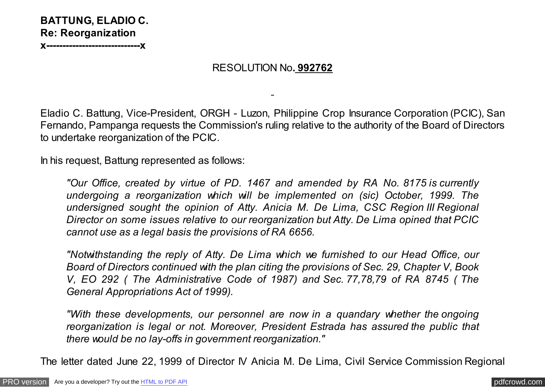

## RESOLUTION No**. 992762**

Eladio C. Battung, Vice-President, ORGH - Luzon, Philippine Crop Insurance Corporation (PCIC), San Fernando, Pampanga requests the Commission's ruling relative to the authority of the Board of Directors to undertake reorganization of the PCIC.

In his request, Battung represented as follows:

*"Our Office, created by virtue of PD. 1467 and amended by RA No. 8175 is currently undergoing a reorganization which will be implemented on (sic) October, 1999. The undersigned sought the opinion of Atty. Anicia M. De Lima, CSC Region III Regional Director on some issues relative to our reorganization but Atty. De Lima opined that PCIC cannot use as a legal basis the provisions of RA 6656.*

*"Notwithstanding the reply of Atty. De Lima which we furnished to our Head Office, our Board of Directors continued with the plan citing the provisions of Sec. 29, Chapter V, Book V, EO 292 ( The Administrative Code of 1987) and Sec. 77,78,79 of RA 8745 ( The General Appropriations Act of 1999).*

*"With these developments, our personnel are now in a quandary whether the ongoing reorganization is legal or not. Moreover, President Estrada has assured the public that there would be no lay-offs in government reorganization."*

The letter dated June 22, 1999 of Director IV Anicia M. De Lima, Civil Service Commission Regional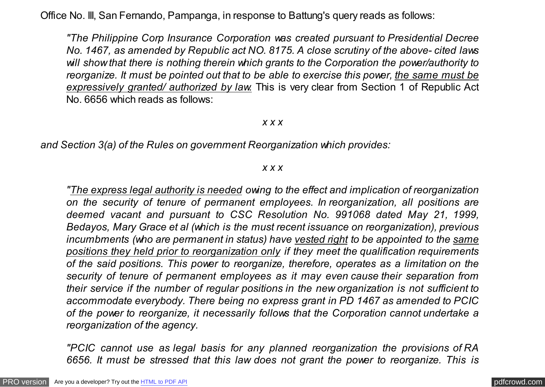Office No. III, San Fernando, Pampanga, in response to Battung's query reads as follows:

*"The Philippine Corp Insurance Corporation was created pursuant to Presidential Decree No. 1467, as amended by Republic act NO. 8175. A close scrutiny of the above- cited laws will show that there is nothing therein which grants to the Corporation the power/authority to reorganize. It must be pointed out that to be able to exercise this power, the same must be expressively granted/ authorized by law.* This is very clear from Section 1 of Republic Act No. 6656 which reads as follows:

### *x x x*

*and Section 3(a) of the Rules on government Reorganization which provides:*

#### *x x x*

*"The express legal authority is needed owing to the effect and implication of reorganization on the security of tenure of permanent employees. In reorganization, all positions are deemed vacant and pursuant to CSC Resolution No. 991068 dated May 21, 1999, Bedayos, Mary Grace et al (which is the must recent issuance on reorganization), previous incumbments (who are permanent in status) have vested right to be appointed to the same positions they held prior to reorganization only if they meet the qualification requirements of the said positions. This power to reorganize, therefore, operates as a limitation on the security of tenure of permanent employees as it may even cause their separation from their service if the number of regular positions in the new organization is not sufficient to accommodate everybody. There being no express grant in PD 1467 as amended to PCIC of the power to reorganize, it necessarily follows that the Corporation cannot undertake a reorganization of the agency.*

*"PCIC cannot use as legal basis for any planned reorganization the provisions of RA 6656. It must be stressed that this law does not grant the power to reorganize. This is*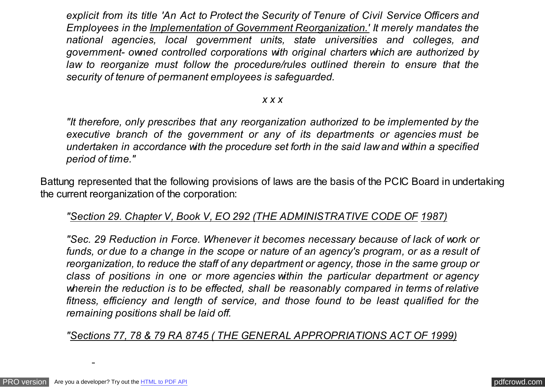*explicit from its title 'An Act to Protect the Security of Tenure of Civil Service Officers and Employees in the Implementation of Government Reorganization.' It merely mandates the national agencies, local government units, state universities and colleges, and government- owned controlled corporations with original charters which are authorized by law to reorganize must follow the procedure/rules outlined therein to ensure that the security of tenure of permanent employees is safeguarded.*

### *x x x*

*"It therefore, only prescribes that any reorganization authorized to be implemented by the executive branch of the government or any of its departments or agencies must be undertaken in accordance with the procedure set forth in the said law and within a specified period of time."*

Battung represented that the following provisions of laws are the basis of the PCIC Board in undertaking the current reorganization of the corporation:

# *"Section 29. Chapter V, Book V, EO 292 (THE ADMINISTRATIVE CODE OF 1987)*

*"Sec. 29 Reduction in Force. Whenever it becomes necessary because of lack of work or funds, or due to a change in the scope or nature of an agency's program, or as a result of reorganization, to reduce the staff of any department or agency, those in the same group or class of positions in one or more agencies within the particular department or agency wherein the reduction is to be effected, shall be reasonably compared in terms of relative fitness, efficiency and length of service, and those found to be least qualified for the remaining positions shall be laid off.*

*"Sections 77, 78 & 79 RA 8745 ( THE GENERAL APPROPRIATIONS ACT OF 1999)*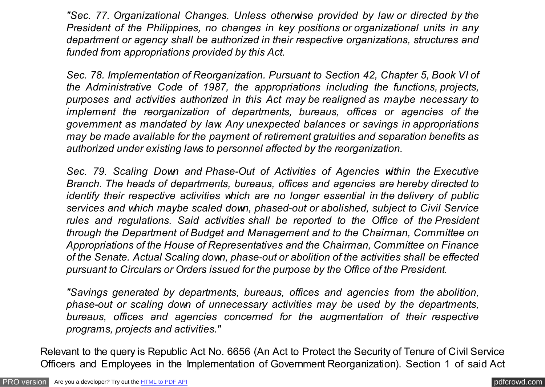*"Sec. 77. Organizational Changes. Unless otherwise provided by law or directed by the President of the Philippines, no changes in key positions or organizational units in any department or agency shall be authorized in their respective organizations, structures and funded from appropriations provided by this Act.*

*Sec. 78. Implementation of Reorganization. Pursuant to Section 42, Chapter 5, Book VI of the Administrative Code of 1987, the appropriations including the functions, projects, purposes and activities authorized in this Act may be realigned as maybe necessary to implement the reorganization of departments, bureaus, offices or agencies of the government as mandated by law. Any unexpected balances or savings in appropriations may be made available for the payment of retirement gratuities and separation benefits as authorized under existing laws to personnel affected by the reorganization.*

*Sec. 79. Scaling Down and Phase-Out of Activities of Agencies within the Executive Branch. The heads of departments, bureaus, offices and agencies are hereby directed to identify their respective activities which are no longer essential in the delivery of public services and which maybe scaled down, phased-out or abolished, subject to Civil Service rules and regulations. Said activities shall be reported to the Office of the President through the Department of Budget and Management and to the Chairman, Committee on Appropriations of the House of Representatives and the Chairman, Committee on Finance of the Senate. Actual Scaling down, phase-out or abolition of the activities shall be effected pursuant to Circulars or Orders issued for the purpose by the Office of the President.*

*"Savings generated by departments, bureaus, offices and agencies from the abolition, phase-out or scaling down of unnecessary activities may be used by the departments, bureaus, offices and agencies concerned for the augmentation of their respective programs, projects and activities."*

Relevant to the query is Republic Act No. 6656 (An Act to Protect the Security of Tenure of Civil Service Officers and Employees in the Implementation of Government Reorganization). Section 1 of said Act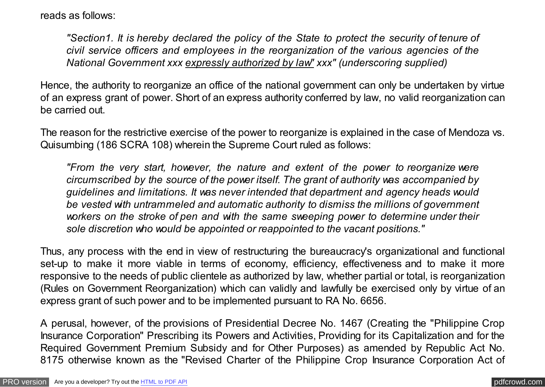reads as follows:

*"Section1. It is hereby declared the policy of the State to protect the security of tenure of civil service officers and employees in the reorganization of the various agencies of the National Government xxx expressly authorized by law" xxx" (underscoring supplied)*

Hence, the authority to reorganize an office of the national government can only be undertaken by virtue of an express grant of power. Short of an express authority conferred by law, no valid reorganization can be carried out.

The reason for the restrictive exercise of the power to reorganize is explained in the case of Mendoza vs. Quisumbing (186 SCRA 108) wherein the Supreme Court ruled as follows:

*"From the very start, however, the nature and extent of the power to reorganize were circumscribed by the source of the power itself. The grant of authority was accompanied by guidelines and limitations. It was never intended that department and agency heads would be vested with untrammeled and automatic authority to dismiss the millions of government workers on the stroke of pen and with the same sweeping power to determine under their sole discretion who would be appointed or reappointed to the vacant positions."*

Thus, any process with the end in view of restructuring the bureaucracy's organizational and functional set-up to make it more viable in terms of economy, efficiency, effectiveness and to make it more responsive to the needs of public clientele as authorized by law, whether partial or total, is reorganization (Rules on Government Reorganization) which can validly and lawfully be exercised only by virtue of an express grant of such power and to be implemented pursuant to RA No. 6656.

A perusal, however, of the provisions of Presidential Decree No. 1467 (Creating the "Philippine Crop Insurance Corporation" Prescribing its Powers and Activities, Providing for its Capitalization and for the Required Government Premium Subsidy and for Other Purposes) as amended by Republic Act No. 8175 otherwise known as the "Revised Charter of the Philippine Crop Insurance Corporation Act of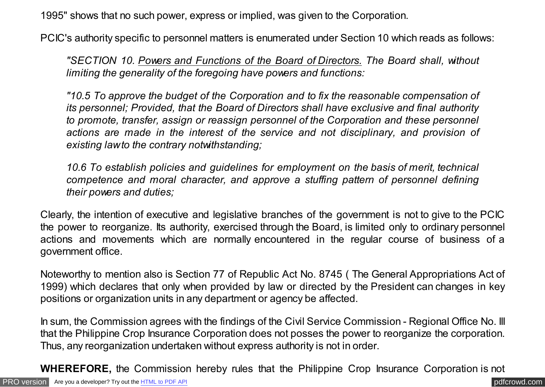1995" shows that no such power, express or implied, was given to the Corporation.

PCIC's authority specific to personnel matters is enumerated under Section 10 which reads as follows:

*"SECTION 10. Powers and Functions of the Board of Directors. The Board shall, without limiting the generality of the foregoing have powers and functions:*

*"10.5 To approve the budget of the Corporation and to fix the reasonable compensation of its personnel; Provided, that the Board of Directors shall have exclusive and final authority to promote, transfer, assign or reassign personnel of the Corporation and these personnel actions are made in the interest of the service and not disciplinary, and provision of existing law to the contrary notwithstanding;*

*10.6 To establish policies and guidelines for employment on the basis of merit, technical competence and moral character, and approve a stuffing pattern of personnel defining their powers and duties;*

Clearly, the intention of executive and legislative branches of the government is not to give to the PCIC the power to reorganize. Its authority, exercised through the Board, is limited only to ordinary personnel actions and movements which are normally encountered in the regular course of business of a government office.

Noteworthy to mention also is Section 77 of Republic Act No. 8745 ( The General Appropriations Act of 1999) which declares that only when provided by law or directed by the President can changes in key positions or organization units in any department or agency be affected.

In sum, the Commission agrees with the findings of the Civil Service Commission - Regional Office No. III that the Philippine Crop Insurance Corporation does not posses the power to reorganize the corporation. Thus, any reorganization undertaken without express authority is not in order.

**WHEREFORE,** the Commission hereby rules that the Philippine Crop Insurance Corporation is not